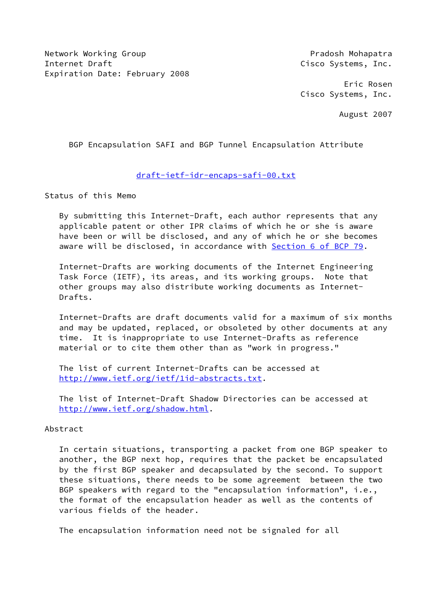Network Working Group **Pradosh Mohapatra** Internet Draft Cisco Systems, Inc. Expiration Date: February 2008

 Eric Rosen Cisco Systems, Inc.

August 2007

BGP Encapsulation SAFI and BGP Tunnel Encapsulation Attribute

## [draft-ietf-idr-encaps-safi-00.txt](https://datatracker.ietf.org/doc/pdf/draft-ietf-idr-encaps-safi-00.txt)

Status of this Memo

 By submitting this Internet-Draft, each author represents that any applicable patent or other IPR claims of which he or she is aware have been or will be disclosed, and any of which he or she becomes aware will be disclosed, in accordance with Section [6 of BCP 79.](https://datatracker.ietf.org/doc/pdf/bcp79#section-6)

 Internet-Drafts are working documents of the Internet Engineering Task Force (IETF), its areas, and its working groups. Note that other groups may also distribute working documents as Internet- Drafts.

 Internet-Drafts are draft documents valid for a maximum of six months and may be updated, replaced, or obsoleted by other documents at any time. It is inappropriate to use Internet-Drafts as reference material or to cite them other than as "work in progress."

 The list of current Internet-Drafts can be accessed at <http://www.ietf.org/ietf/1id-abstracts.txt>.

 The list of Internet-Draft Shadow Directories can be accessed at <http://www.ietf.org/shadow.html>.

# Abstract

 In certain situations, transporting a packet from one BGP speaker to another, the BGP next hop, requires that the packet be encapsulated by the first BGP speaker and decapsulated by the second. To support these situations, there needs to be some agreement between the two BGP speakers with regard to the "encapsulation information", i.e., the format of the encapsulation header as well as the contents of various fields of the header.

The encapsulation information need not be signaled for all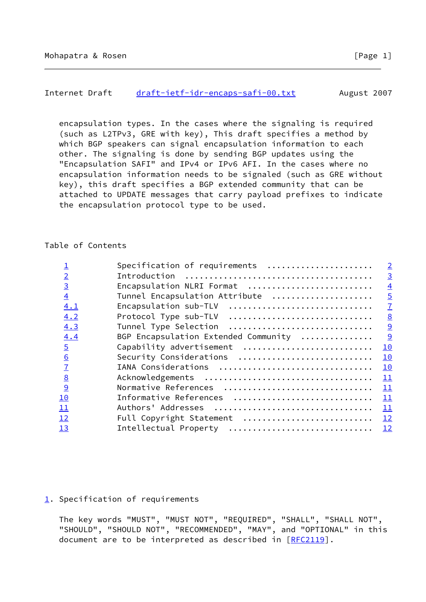## <span id="page-1-1"></span>Internet Draft [draft-ietf-idr-encaps-safi-00.txt](https://datatracker.ietf.org/doc/pdf/draft-ietf-idr-encaps-safi-00.txt) August 2007

 encapsulation types. In the cases where the signaling is required (such as L2TPv3, GRE with key), This draft specifies a method by which BGP speakers can signal encapsulation information to each other. The signaling is done by sending BGP updates using the "Encapsulation SAFI" and IPv4 or IPv6 AFI. In the cases where no encapsulation information needs to be signaled (such as GRE without key), this draft specifies a BGP extended community that can be attached to UPDATE messages that carry payload prefixes to indicate the encapsulation protocol type to be used.

# Table of Contents

|                 | Specification of requirements        | $\overline{2}$  |
|-----------------|--------------------------------------|-----------------|
| $\overline{2}$  |                                      | $\overline{3}$  |
| $\overline{3}$  | Encapsulation NLRI Format            | $\overline{4}$  |
| $\overline{4}$  | Tunnel Encapsulation Attribute       | $\overline{5}$  |
| 4.1             | Encapsulation sub-TLV                | $\overline{1}$  |
| 4.2             | Protocol Type sub-TLV                | $\underline{8}$ |
| 4.3             | Tunnel Type Selection                | 9               |
| 4.4             | BGP Encapsulation Extended Community | 9               |
| $\overline{5}$  | Capability advertisement             | 10              |
| $\underline{6}$ | Security Considerations              | 10              |
| $\overline{1}$  | IANA Considerations                  | 10              |
| $\underline{8}$ |                                      | 11              |
| $\overline{9}$  | Normative References                 | 11              |
| 10              | Informative References               | 11              |
| 11              |                                      | 11              |
| 12              | Full Copyright Statement             | 12              |
| 13              | Intellectual Property                | 12              |
|                 |                                      |                 |

# <span id="page-1-0"></span>[1](#page-1-0). Specification of requirements

 The key words "MUST", "MUST NOT", "REQUIRED", "SHALL", "SHALL NOT", "SHOULD", "SHOULD NOT", "RECOMMENDED", "MAY", and "OPTIONAL" in this document are to be interpreted as described in [\[RFC2119](https://datatracker.ietf.org/doc/pdf/rfc2119)].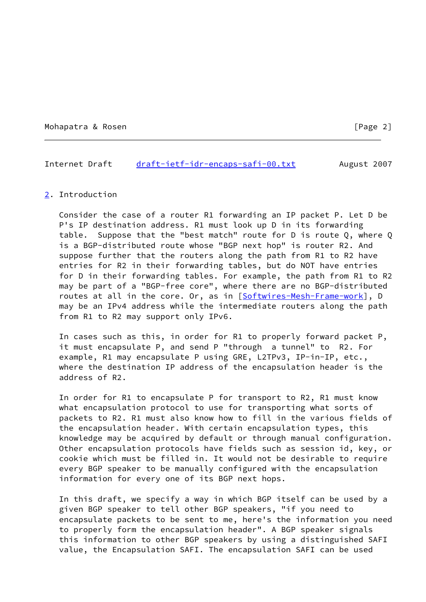Mohapatra & Rosen [Page 2]

#### <span id="page-2-1"></span>Internet Draft [draft-ietf-idr-encaps-safi-00.txt](https://datatracker.ietf.org/doc/pdf/draft-ietf-idr-encaps-safi-00.txt) August 2007

#### <span id="page-2-0"></span>[2](#page-2-0). Introduction

 Consider the case of a router R1 forwarding an IP packet P. Let D be P's IP destination address. R1 must look up D in its forwarding table. Suppose that the "best match" route for D is route Q, where Q is a BGP-distributed route whose "BGP next hop" is router R2. And suppose further that the routers along the path from R1 to R2 have entries for R2 in their forwarding tables, but do NOT have entries for D in their forwarding tables. For example, the path from R1 to R2 may be part of a "BGP-free core", where there are no BGP-distributed routes at all in the core. Or, as in [\[Softwires-Mesh-Frame-work\]](#page-12-3), D may be an IPv4 address while the intermediate routers along the path from R1 to R2 may support only IPv6.

 In cases such as this, in order for R1 to properly forward packet P, it must encapsulate P, and send P "through a tunnel" to R2. For example, R1 may encapsulate P using GRE, L2TPv3, IP-in-IP, etc., where the destination IP address of the encapsulation header is the address of R2.

 In order for R1 to encapsulate P for transport to R2, R1 must know what encapsulation protocol to use for transporting what sorts of packets to R2. R1 must also know how to fill in the various fields of the encapsulation header. With certain encapsulation types, this knowledge may be acquired by default or through manual configuration. Other encapsulation protocols have fields such as session id, key, or cookie which must be filled in. It would not be desirable to require every BGP speaker to be manually configured with the encapsulation information for every one of its BGP next hops.

 In this draft, we specify a way in which BGP itself can be used by a given BGP speaker to tell other BGP speakers, "if you need to encapsulate packets to be sent to me, here's the information you need to properly form the encapsulation header". A BGP speaker signals this information to other BGP speakers by using a distinguished SAFI value, the Encapsulation SAFI. The encapsulation SAFI can be used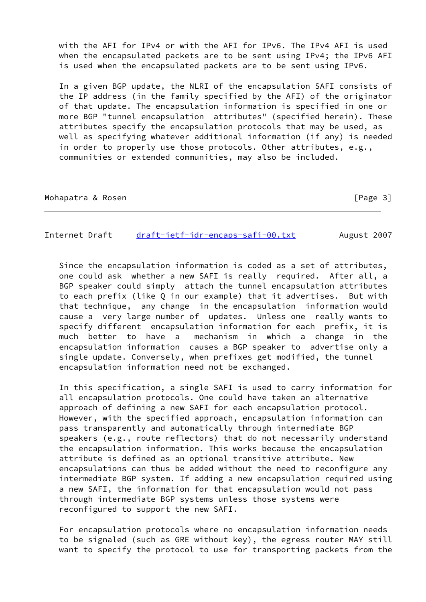with the AFI for IPv4 or with the AFI for IPv6. The IPv4 AFI is used when the encapsulated packets are to be sent using IPv4; the IPv6 AFI is used when the encapsulated packets are to be sent using IPv6.

 In a given BGP update, the NLRI of the encapsulation SAFI consists of the IP address (in the family specified by the AFI) of the originator of that update. The encapsulation information is specified in one or more BGP "tunnel encapsulation attributes" (specified herein). These attributes specify the encapsulation protocols that may be used, as well as specifying whatever additional information (if any) is needed in order to properly use those protocols. Other attributes, e.g., communities or extended communities, may also be included.

Mohapatra & Rosen **by a straight and a straight and a straight and a straight a straight and a straight a straight a straight a straight and straight a straight a straight and straight a straight a straight and straight a** 

<span id="page-3-0"></span>Internet Draft [draft-ietf-idr-encaps-safi-00.txt](https://datatracker.ietf.org/doc/pdf/draft-ietf-idr-encaps-safi-00.txt) August 2007

 Since the encapsulation information is coded as a set of attributes, one could ask whether a new SAFI is really required. After all, a BGP speaker could simply attach the tunnel encapsulation attributes to each prefix (like Q in our example) that it advertises. But with that technique, any change in the encapsulation information would cause a very large number of updates. Unless one really wants to specify different encapsulation information for each prefix, it is much better to have a mechanism in which a change in the encapsulation information causes a BGP speaker to advertise only a single update. Conversely, when prefixes get modified, the tunnel encapsulation information need not be exchanged.

 In this specification, a single SAFI is used to carry information for all encapsulation protocols. One could have taken an alternative approach of defining a new SAFI for each encapsulation protocol. However, with the specified approach, encapsulation information can pass transparently and automatically through intermediate BGP speakers (e.g., route reflectors) that do not necessarily understand the encapsulation information. This works because the encapsulation attribute is defined as an optional transitive attribute. New encapsulations can thus be added without the need to reconfigure any intermediate BGP system. If adding a new encapsulation required using a new SAFI, the information for that encapsulation would not pass through intermediate BGP systems unless those systems were reconfigured to support the new SAFI.

 For encapsulation protocols where no encapsulation information needs to be signaled (such as GRE without key), the egress router MAY still want to specify the protocol to use for transporting packets from the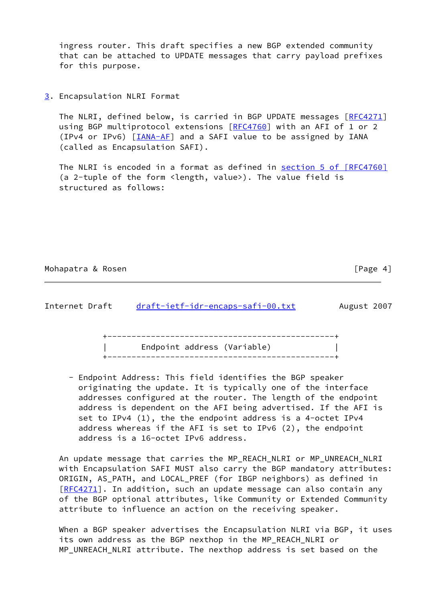ingress router. This draft specifies a new BGP extended community that can be attached to UPDATE messages that carry payload prefixes for this purpose.

<span id="page-4-0"></span>[3](#page-4-0). Encapsulation NLRI Format

The NLRI, defined below, is carried in BGP UPDATE messages [[RFC4271\]](https://datatracker.ietf.org/doc/pdf/rfc4271) using BGP multiprotocol extensions [[RFC4760\]](https://datatracker.ietf.org/doc/pdf/rfc4760) with an AFI of 1 or 2 (IPv4 or IPv6) [\[IANA-AF](#page-11-4)] and a SAFI value to be assigned by IANA (called as Encapsulation SAFI).

The NLRI is encoded in a format as defined in section [5 of \[RFC4760\]](https://datatracker.ietf.org/doc/pdf/rfc4760#section-5) (a 2-tuple of the form <length, value>). The value field is structured as follows:

#### Mohapatra & Rosen **by a straight and the contract of the Contract of Page 4**]

<span id="page-4-1"></span>

| Endpoint address (Variable) |  |
|-----------------------------|--|
|                             |  |

 - Endpoint Address: This field identifies the BGP speaker originating the update. It is typically one of the interface addresses configured at the router. The length of the endpoint address is dependent on the AFI being advertised. If the AFI is set to IPv4 (1), the the endpoint address is a 4-octet IPv4 address whereas if the AFI is set to IPv6 (2), the endpoint address is a 16-octet IPv6 address.

 An update message that carries the MP\_REACH\_NLRI or MP\_UNREACH\_NLRI with Encapsulation SAFI MUST also carry the BGP mandatory attributes: ORIGIN, AS\_PATH, and LOCAL\_PREF (for IBGP neighbors) as defined in [\[RFC4271](https://datatracker.ietf.org/doc/pdf/rfc4271)]. In addition, such an update message can also contain any of the BGP optional attributes, like Community or Extended Community attribute to influence an action on the receiving speaker.

 When a BGP speaker advertises the Encapsulation NLRI via BGP, it uses its own address as the BGP nexthop in the MP\_REACH\_NLRI or MP\_UNREACH\_NLRI attribute. The nexthop address is set based on the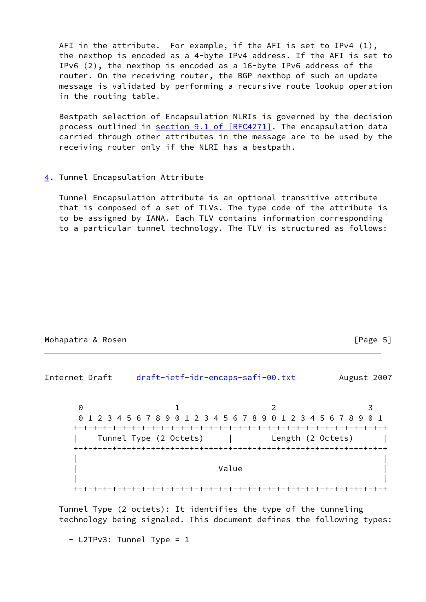AFI in the attribute. For example, if the AFI is set to IPv4 (1), the nexthop is encoded as a 4-byte IPv4 address. If the AFI is set to IPv6 (2), the nexthop is encoded as a 16-byte IPv6 address of the router. On the receiving router, the BGP nexthop of such an update message is validated by performing a recursive route lookup operation in the routing table.

 Bestpath selection of Encapsulation NLRIs is governed by the decision process outlined in section [9.1 of \[RFC4271\].](https://datatracker.ietf.org/doc/pdf/rfc4271#section-9.1) The encapsulation data carried through other attributes in the message are to be used by the receiving router only if the NLRI has a bestpath.

#### <span id="page-5-0"></span>[4](#page-5-0). Tunnel Encapsulation Attribute

 Tunnel Encapsulation attribute is an optional transitive attribute that is composed of a set of TLVs. The type code of the attribute is to be assigned by IANA. Each TLV contains information corresponding to a particular tunnel technology. The TLV is structured as follows:

## Mohapatra & Rosen **by The Contract Contract Contract Contract Contract Contract Contract Contract Contract Contract Contract Contract Contract Contract Contract Contract Contract Contract Contract Contract Contract Contrac**

Internet Draft [draft-ietf-idr-encaps-safi-00.txt](https://datatracker.ietf.org/doc/pdf/draft-ietf-idr-encaps-safi-00.txt) August 2007 0 1 2 3 0 1 2 3 4 5 6 7 8 9 0 1 2 3 4 5 6 7 8 9 0 1 2 3 4 5 6 7 8 9 0 1 +-+-+-+-+-+-+-+-+-+-+-+-+-+-+-+-+-+-+-+-+-+-+-+-+-+-+-+-+-+-+-+-+ Tunnel Type (2 Octets) | Length (2 Octets) | +-+-+-+-+-+-+-+-+-+-+-+-+-+-+-+-+-+-+-+-+-+-+-+-+-+-+-+-+-+-+-+-+ | | | **Value** | **Value** | **Value** | **Value** | **Value** | **Value** | **1**  | | +-+-+-+-+-+-+-+-+-+-+-+-+-+-+-+-+-+-+-+-+-+-+-+-+-+-+-+-+-+-+-+-+

 Tunnel Type (2 octets): It identifies the type of the tunneling technology being signaled. This document defines the following types:

- L2TPv3: Tunnel Type = 1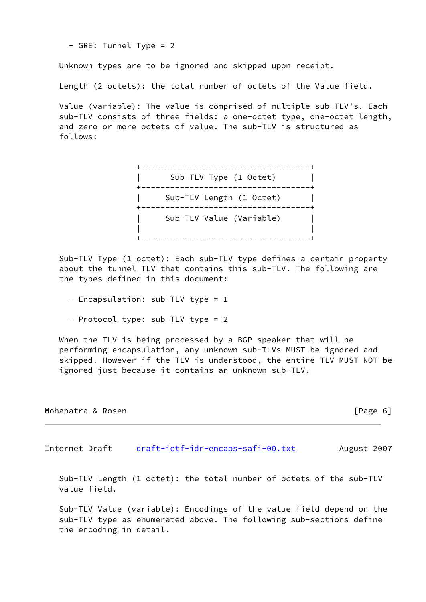- GRE: Tunnel Type = 2

Unknown types are to be ignored and skipped upon receipt.

Length (2 octets): the total number of octets of the Value field.

 Value (variable): The value is comprised of multiple sub-TLV's. Each sub-TLV consists of three fields: a one-octet type, one-octet length, and zero or more octets of value. The sub-TLV is structured as follows:

 +-----------------------------------+ | Sub-TLV Type (1 Octet) | +-----------------------------------+ | Sub-TLV Length (1 Octet) | +-----------------------------------+ Sub-TLV Value (Variable) | | +-----------------------------------+

 Sub-TLV Type (1 octet): Each sub-TLV type defines a certain property about the tunnel TLV that contains this sub-TLV. The following are the types defined in this document:

- Encapsulation: sub-TLV type = 1
- Protocol type: sub-TLV type = 2

When the TLV is being processed by a BGP speaker that will be performing encapsulation, any unknown sub-TLVs MUST be ignored and skipped. However if the TLV is understood, the entire TLV MUST NOT be ignored just because it contains an unknown sub-TLV.

| Mohapatra & Rosen | [Page 6] |
|-------------------|----------|
|                   |          |

<span id="page-6-0"></span>Internet Draft [draft-ietf-idr-encaps-safi-00.txt](https://datatracker.ietf.org/doc/pdf/draft-ietf-idr-encaps-safi-00.txt) August 2007

 Sub-TLV Length (1 octet): the total number of octets of the sub-TLV value field.

 Sub-TLV Value (variable): Encodings of the value field depend on the sub-TLV type as enumerated above. The following sub-sections define the encoding in detail.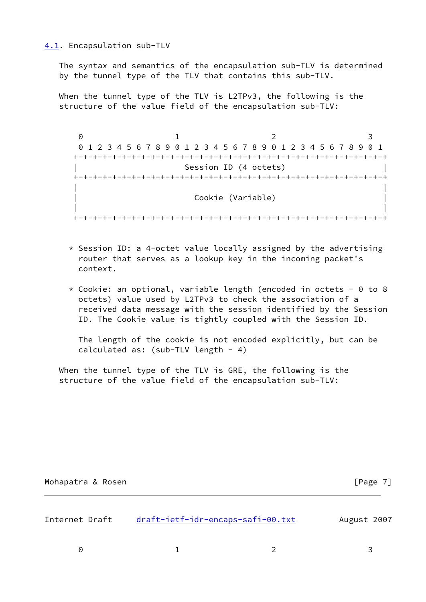<span id="page-7-0"></span>[4.1](#page-7-0). Encapsulation sub-TLV

 The syntax and semantics of the encapsulation sub-TLV is determined by the tunnel type of the TLV that contains this sub-TLV.

 When the tunnel type of the TLV is L2TPv3, the following is the structure of the value field of the encapsulation sub-TLV:

0 1 2 3 0 1 2 3 4 5 6 7 8 9 0 1 2 3 4 5 6 7 8 9 0 1 2 3 4 5 6 7 8 9 0 1 +-+-+-+-+-+-+-+-+-+-+-+-+-+-+-+-+-+-+-+-+-+-+-+-+-+-+-+-+-+-+-+-+ Session ID (4 octets) +-+-+-+-+-+-+-+-+-+-+-+-+-+-+-+-+-+-+-+-+-+-+-+-+-+-+-+-+-+-+-+-+ | | | Cookie (Variable) | | | +-+-+-+-+-+-+-+-+-+-+-+-+-+-+-+-+-+-+-+-+-+-+-+-+-+-+-+-+-+-+-+-+

- $*$  Session ID: a 4-octet value locally assigned by the advertising router that serves as a lookup key in the incoming packet's context.
- \* Cookie: an optional, variable length (encoded in octets 0 to 8 octets) value used by L2TPv3 to check the association of a received data message with the session identified by the Session ID. The Cookie value is tightly coupled with the Session ID.

 The length of the cookie is not encoded explicitly, but can be calculated as: (sub-TLV length - 4)

 When the tunnel type of the TLV is GRE, the following is the structure of the value field of the encapsulation sub-TLV:

| Mohapatra & Rosen |  |  |
|-------------------|--|--|
|-------------------|--|--|

<span id="page-7-1"></span>

| Internet Draft | draft-ietf-idr-encaps-safi-00.txt | August 2007 |
|----------------|-----------------------------------|-------------|
|                |                                   |             |

0 1 2 3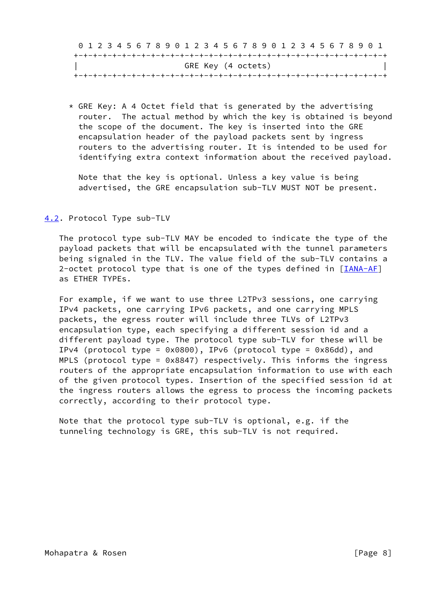|                    |  |  |  |  | 0 1 2 3 4 5 6 7 8 9 0 1 2 3 4 5 6 7 8 9 0 1 2 3 4 5 6 7 8 9 0 1 |  |  |  |  |  |  |  |  |  |  |  |  |  |  |  |  |
|--------------------|--|--|--|--|-----------------------------------------------------------------|--|--|--|--|--|--|--|--|--|--|--|--|--|--|--|--|
|                    |  |  |  |  |                                                                 |  |  |  |  |  |  |  |  |  |  |  |  |  |  |  |  |
| GRE Key (4 octets) |  |  |  |  |                                                                 |  |  |  |  |  |  |  |  |  |  |  |  |  |  |  |  |
|                    |  |  |  |  |                                                                 |  |  |  |  |  |  |  |  |  |  |  |  |  |  |  |  |

 $*$  GRE Key: A 4 Octet field that is generated by the advertising router. The actual method by which the key is obtained is beyond the scope of the document. The key is inserted into the GRE encapsulation header of the payload packets sent by ingress routers to the advertising router. It is intended to be used for identifying extra context information about the received payload.

 Note that the key is optional. Unless a key value is being advertised, the GRE encapsulation sub-TLV MUST NOT be present.

# <span id="page-8-0"></span>[4.2](#page-8-0). Protocol Type sub-TLV

 The protocol type sub-TLV MAY be encoded to indicate the type of the payload packets that will be encapsulated with the tunnel parameters being signaled in the TLV. The value field of the sub-TLV contains a 2-octet protocol type that is one of the types defined in  $[IMA-AF]$ as ETHER TYPEs.

 For example, if we want to use three L2TPv3 sessions, one carrying IPv4 packets, one carrying IPv6 packets, and one carrying MPLS packets, the egress router will include three TLVs of L2TPv3 encapsulation type, each specifying a different session id and a different payload type. The protocol type sub-TLV for these will be IPv4 (protocol type = 0x0800), IPv6 (protocol type = 0x86dd), and MPLS (protocol type = 0x8847) respectively. This informs the ingress routers of the appropriate encapsulation information to use with each of the given protocol types. Insertion of the specified session id at the ingress routers allows the egress to process the incoming packets correctly, according to their protocol type.

 Note that the protocol type sub-TLV is optional, e.g. if the tunneling technology is GRE, this sub-TLV is not required.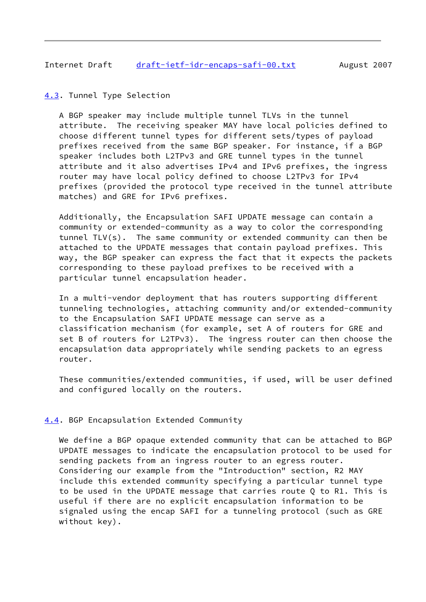# <span id="page-9-1"></span><span id="page-9-0"></span>[4.3](#page-9-0). Tunnel Type Selection

 A BGP speaker may include multiple tunnel TLVs in the tunnel attribute. The receiving speaker MAY have local policies defined to choose different tunnel types for different sets/types of payload prefixes received from the same BGP speaker. For instance, if a BGP speaker includes both L2TPv3 and GRE tunnel types in the tunnel attribute and it also advertises IPv4 and IPv6 prefixes, the ingress router may have local policy defined to choose L2TPv3 for IPv4 prefixes (provided the protocol type received in the tunnel attribute matches) and GRE for IPv6 prefixes.

 Additionally, the Encapsulation SAFI UPDATE message can contain a community or extended-community as a way to color the corresponding tunnel TLV(s). The same community or extended community can then be attached to the UPDATE messages that contain payload prefixes. This way, the BGP speaker can express the fact that it expects the packets corresponding to these payload prefixes to be received with a particular tunnel encapsulation header.

 In a multi-vendor deployment that has routers supporting different tunneling technologies, attaching community and/or extended-community to the Encapsulation SAFI UPDATE message can serve as a classification mechanism (for example, set A of routers for GRE and set B of routers for L2TPv3). The ingress router can then choose the encapsulation data appropriately while sending packets to an egress router.

 These communities/extended communities, if used, will be user defined and configured locally on the routers.

## <span id="page-9-2"></span>[4.4](#page-9-2). BGP Encapsulation Extended Community

 We define a BGP opaque extended community that can be attached to BGP UPDATE messages to indicate the encapsulation protocol to be used for sending packets from an ingress router to an egress router. Considering our example from the "Introduction" section, R2 MAY include this extended community specifying a particular tunnel type to be used in the UPDATE message that carries route Q to R1. This is useful if there are no explicit encapsulation information to be signaled using the encap SAFI for a tunneling protocol (such as GRE without key).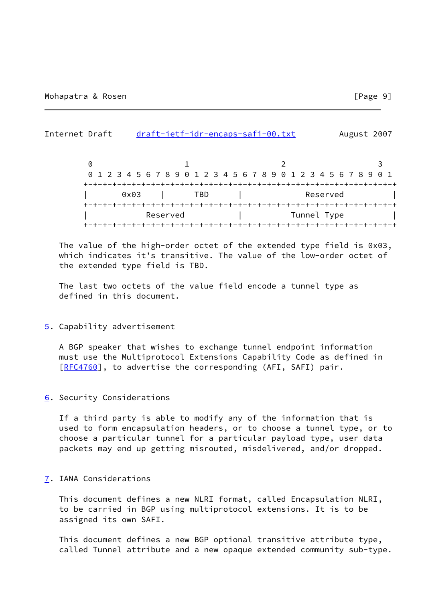<span id="page-10-1"></span>Internet Draft [draft-ietf-idr-encaps-safi-00.txt](https://datatracker.ietf.org/doc/pdf/draft-ietf-idr-encaps-safi-00.txt) August 2007  $0$  1 2 3 0 1 2 3 4 5 6 7 8 9 0 1 2 3 4 5 6 7 8 9 0 1 2 3 4 5 6 7 8 9 0 1 +-+-+-+-+-+-+-+-+-+-+-+-+-+-+-+-+-+-+-+-+-+-+-+-+-+-+-+-+-+-+-+-+ 0x03 | TBD | Reserved +-+-+-+-+-+-+-+-+-+-+-+-+-+-+-+-+-+-+-+-+-+-+-+-+-+-+-+-+-+-+-+-+ Reserved | Tunnel Type +-+-+-+-+-+-+-+-+-+-+-+-+-+-+-+-+-+-+-+-+-+-+-+-+-+-+-+-+-+-+-+-+

 The value of the high-order octet of the extended type field is 0x03, which indicates it's transitive. The value of the low-order octet of the extended type field is TBD.

 The last two octets of the value field encode a tunnel type as defined in this document.

#### <span id="page-10-0"></span>[5](#page-10-0). Capability advertisement

 A BGP speaker that wishes to exchange tunnel endpoint information must use the Multiprotocol Extensions Capability Code as defined in [\[RFC4760](https://datatracker.ietf.org/doc/pdf/rfc4760)], to advertise the corresponding (AFI, SAFI) pair.

## <span id="page-10-2"></span>[6](#page-10-2). Security Considerations

 If a third party is able to modify any of the information that is used to form encapsulation headers, or to choose a tunnel type, or to choose a particular tunnel for a particular payload type, user data packets may end up getting misrouted, misdelivered, and/or dropped.

## <span id="page-10-3"></span>[7](#page-10-3). IANA Considerations

 This document defines a new NLRI format, called Encapsulation NLRI, to be carried in BGP using multiprotocol extensions. It is to be assigned its own SAFI.

 This document defines a new BGP optional transitive attribute type, called Tunnel attribute and a new opaque extended community sub-type.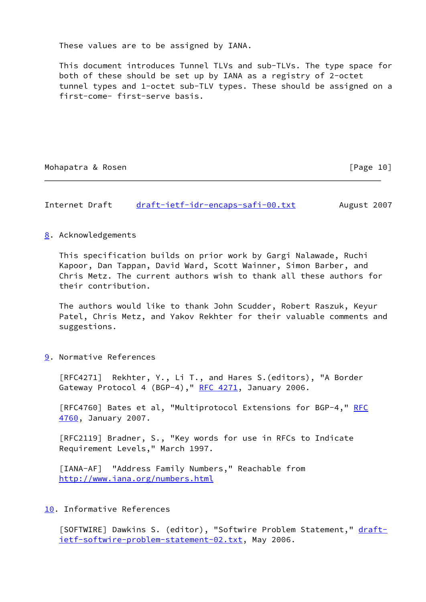These values are to be assigned by IANA.

 This document introduces Tunnel TLVs and sub-TLVs. The type space for both of these should be set up by IANA as a registry of 2-octet tunnel types and 1-octet sub-TLV types. These should be assigned on a first-come- first-serve basis.

## Mohapatra & Rosen [Page 10]

# <span id="page-11-1"></span>Internet Draft [draft-ietf-idr-encaps-safi-00.txt](https://datatracker.ietf.org/doc/pdf/draft-ietf-idr-encaps-safi-00.txt) August 2007

## <span id="page-11-0"></span>[8](#page-11-0). Acknowledgements

 This specification builds on prior work by Gargi Nalawade, Ruchi Kapoor, Dan Tappan, David Ward, Scott Wainner, Simon Barber, and Chris Metz. The current authors wish to thank all these authors for their contribution.

 The authors would like to thank John Scudder, Robert Raszuk, Keyur Patel, Chris Metz, and Yakov Rekhter for their valuable comments and suggestions.

<span id="page-11-2"></span>[9](#page-11-2). Normative References

 [RFC4271] Rekhter, Y., Li T., and Hares S.(editors), "A Border Gateway Protocol 4 (BGP-4)," [RFC 4271](https://datatracker.ietf.org/doc/pdf/rfc4271), January 2006.

[RFC4760] Bates et al, "Multiprotocol Extensions for BGP-4," [RFC](https://datatracker.ietf.org/doc/pdf/rfc4760) [4760](https://datatracker.ietf.org/doc/pdf/rfc4760), January 2007.

 [RFC2119] Bradner, S., "Key words for use in RFCs to Indicate Requirement Levels," March 1997.

<span id="page-11-4"></span> [IANA-AF] "Address Family Numbers," Reachable from <http://www.iana.org/numbers.html>

# <span id="page-11-3"></span>[10.](#page-11-3) Informative References

[SOFTWIRE] Dawkins S. (editor), "Softwire Problem Statement," [draft](https://datatracker.ietf.org/doc/pdf/draft-ietf-softwire-problem-statement-02.txt) [ietf-softwire-problem-statement-02.txt](https://datatracker.ietf.org/doc/pdf/draft-ietf-softwire-problem-statement-02.txt), May 2006.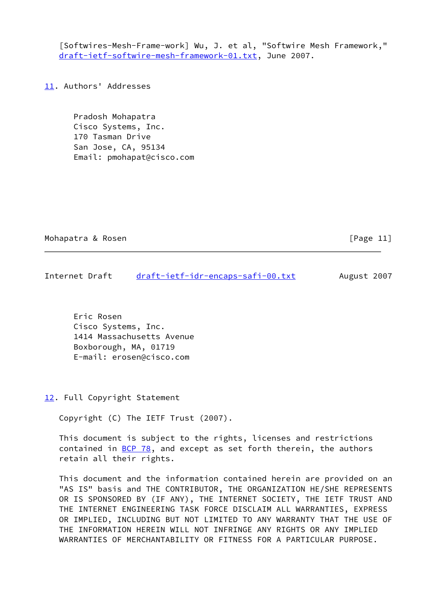<span id="page-12-3"></span>[Softwires-Mesh-Frame-work] Wu, J. et al, "Softwire Mesh Framework," [draft-ietf-softwire-mesh-framework-01.txt](https://datatracker.ietf.org/doc/pdf/draft-ietf-softwire-mesh-framework-01.txt), June 2007.

<span id="page-12-0"></span>[11.](#page-12-0) Authors' Addresses

 Pradosh Mohapatra Cisco Systems, Inc. 170 Tasman Drive San Jose, CA, 95134 Email: pmohapat@cisco.com

Mohapatra & Rosen **by a straight and the Contract of Contract Contract of Contract Contract Contract Contract Contract Contract Contract Contract Contract Contract Contract Contract Contract Contract Contract Contract Cont** 

<span id="page-12-2"></span>Internet Draft [draft-ietf-idr-encaps-safi-00.txt](https://datatracker.ietf.org/doc/pdf/draft-ietf-idr-encaps-safi-00.txt) August 2007

 Eric Rosen Cisco Systems, Inc. 1414 Massachusetts Avenue Boxborough, MA, 01719 E-mail: erosen@cisco.com

<span id="page-12-1"></span>[12.](#page-12-1) Full Copyright Statement

Copyright (C) The IETF Trust (2007).

 This document is subject to the rights, licenses and restrictions contained in  $BCP$  78, and except as set forth therein, the authors retain all their rights.

 This document and the information contained herein are provided on an "AS IS" basis and THE CONTRIBUTOR, THE ORGANIZATION HE/SHE REPRESENTS OR IS SPONSORED BY (IF ANY), THE INTERNET SOCIETY, THE IETF TRUST AND THE INTERNET ENGINEERING TASK FORCE DISCLAIM ALL WARRANTIES, EXPRESS OR IMPLIED, INCLUDING BUT NOT LIMITED TO ANY WARRANTY THAT THE USE OF THE INFORMATION HEREIN WILL NOT INFRINGE ANY RIGHTS OR ANY IMPLIED WARRANTIES OF MERCHANTABILITY OR FITNESS FOR A PARTICULAR PURPOSE.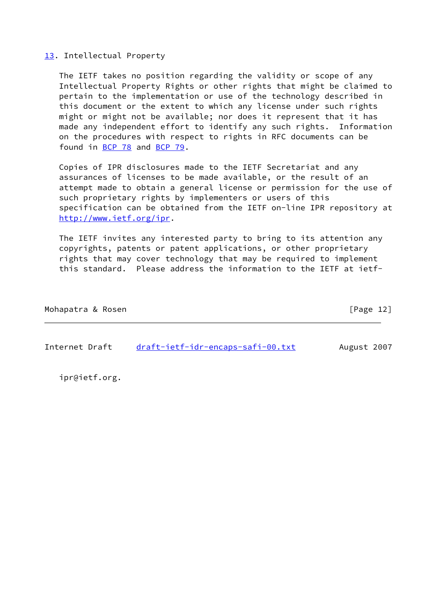# <span id="page-13-0"></span>[13.](#page-13-0) Intellectual Property

 The IETF takes no position regarding the validity or scope of any Intellectual Property Rights or other rights that might be claimed to pertain to the implementation or use of the technology described in this document or the extent to which any license under such rights might or might not be available; nor does it represent that it has made any independent effort to identify any such rights. Information on the procedures with respect to rights in RFC documents can be found in [BCP 78](https://datatracker.ietf.org/doc/pdf/bcp78) and [BCP 79](https://datatracker.ietf.org/doc/pdf/bcp79).

 Copies of IPR disclosures made to the IETF Secretariat and any assurances of licenses to be made available, or the result of an attempt made to obtain a general license or permission for the use of such proprietary rights by implementers or users of this specification can be obtained from the IETF on-line IPR repository at <http://www.ietf.org/ipr>.

 The IETF invites any interested party to bring to its attention any copyrights, patents or patent applications, or other proprietary rights that may cover technology that may be required to implement this standard. Please address the information to the IETF at ietf-

| Mohapatra & Rosen |  | [Page 12] |  |
|-------------------|--|-----------|--|
|                   |  |           |  |

Internet Draft [draft-ietf-idr-encaps-safi-00.txt](https://datatracker.ietf.org/doc/pdf/draft-ietf-idr-encaps-safi-00.txt) August 2007

ipr@ietf.org.